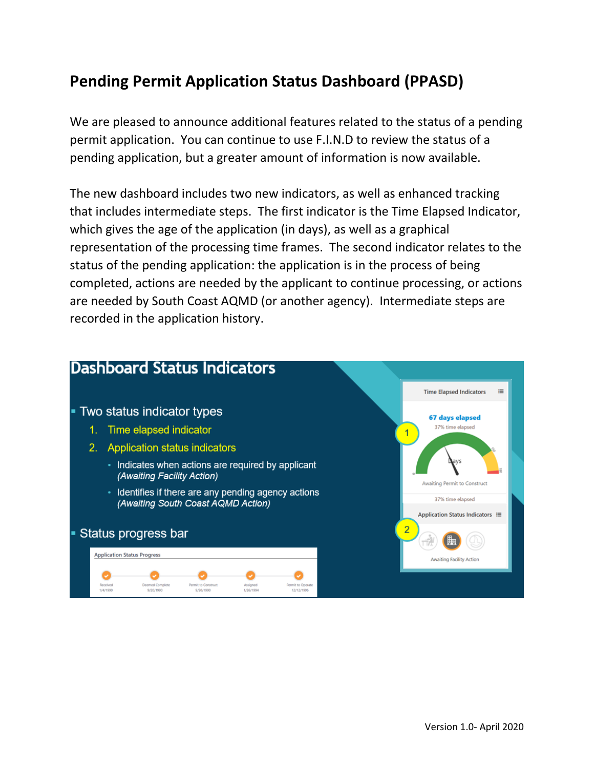## **Pending Permit Application Status Dashboard (PPASD)**

We are pleased to announce additional features related to the status of a pending permit application. You can continue to use F.I.N.D to review the status of a pending application, but a greater amount of information is now available.

The new dashboard includes two new indicators, as well as enhanced tracking that includes intermediate steps. The first indicator is the Time Elapsed Indicator, which gives the age of the application (in days), as well as a graphical representation of the processing time frames. The second indicator relates to the status of the pending application: the application is in the process of being completed, actions are needed by the applicant to continue processing, or actions are needed by South Coast AQMD (or another agency). Intermediate steps are recorded in the application history.

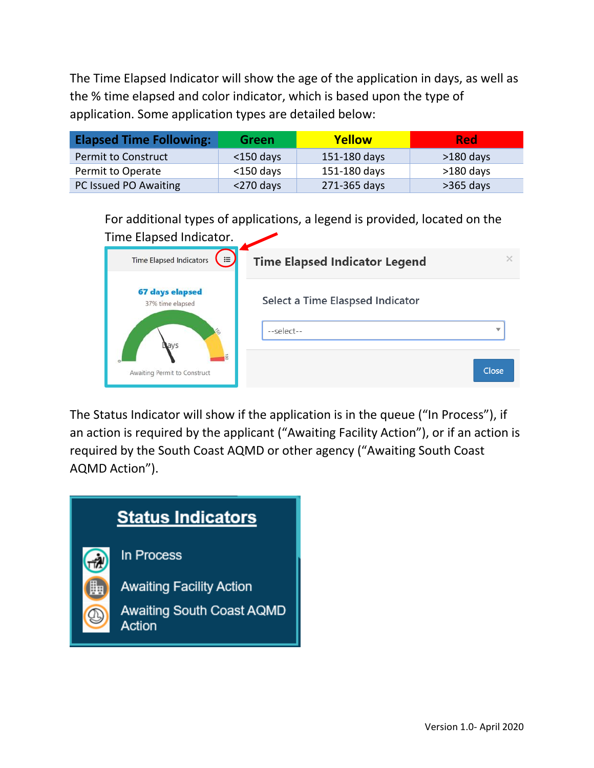The Time Elapsed Indicator will show the age of the application in days, as well as the % time elapsed and color indicator, which is based upon the type of application. Some application types are detailed below:

| <b>Elapsed Time Following:</b> | Green        | Yellow       | <b>Red</b>  |
|--------------------------------|--------------|--------------|-------------|
| <b>Permit to Construct</b>     | $<$ 150 days | 151-180 days | $>180$ days |
| Permit to Operate              | $<$ 150 days | 151-180 days | $>180$ days |
| PC Issued PO Awaiting          | $<$ 270 days | 271-365 days | $>365$ days |

For additional types of applications, a legend is provided, located on the

| Time Elapsed Indicator.                    |                                                |       |
|--------------------------------------------|------------------------------------------------|-------|
| <b>Time Elapsed Indicators</b><br>$\equiv$ | <b>Time Elapsed Indicator Legend</b>           |       |
| <b>67 days elapsed</b><br>37% time elapsed | Select a Time Elaspsed Indicator<br>--select-- | ー     |
| Awaiting Permit to Construct               |                                                | Close |

The Status Indicator will show if the application is in the queue ("In Process"), if an action is required by the applicant ("Awaiting Facility Action"), or if an action is required by the South Coast AQMD or other agency ("Awaiting South Coast AQMD Action").

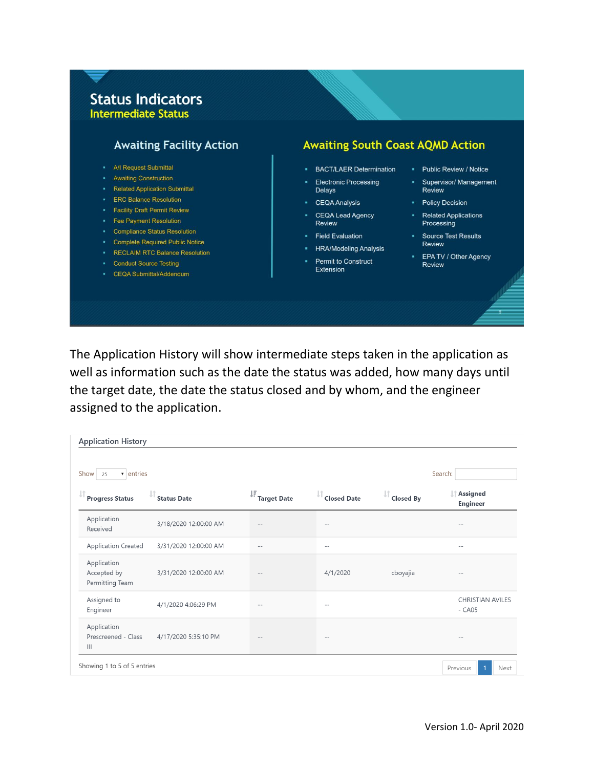## **Status Indicators Intermediate Status**



The Application History will show intermediate steps taken in the application as well as information such as the date the status was added, how many days until the target date, the date the status closed and by whom, and the engineer assigned to the application.

| $\bullet$ entries<br>Search:<br>Show<br>25          |                       |                         |                    |                        |                                    |
|-----------------------------------------------------|-----------------------|-------------------------|--------------------|------------------------|------------------------------------|
| <b>Progress Status</b>                              | <b>Status Date</b>    | Ψ<br><b>Target Date</b> | <b>Closed Date</b> | J1<br><b>Closed By</b> | Assigned<br><b>Engineer</b>        |
| Application<br>Received                             | 3/18/2020 12:00:00 AM | $\qquad \qquad -$       | $\sim$ $-$         |                        | $\qquad \qquad -$                  |
| <b>Application Created</b>                          | 3/31/2020 12:00:00 AM | $-$                     | $-$                |                        | $\frac{1}{2}$                      |
| Application<br>Accepted by<br>Permitting Team       | 3/31/2020 12:00:00 AM | $\sim$ $-$              | 4/1/2020           | cboyajia               | $-1$                               |
| Assigned to<br>Engineer                             | 4/1/2020 4:06:29 PM   | $ -$                    | $-$                |                        | <b>CHRISTIAN AVILES</b><br>$-CAO5$ |
| Application<br>Prescreened - Class<br>$\  \cdot \ $ | 4/17/2020 5:35:10 PM  | $-1$                    | $- -$              |                        | $- -$                              |